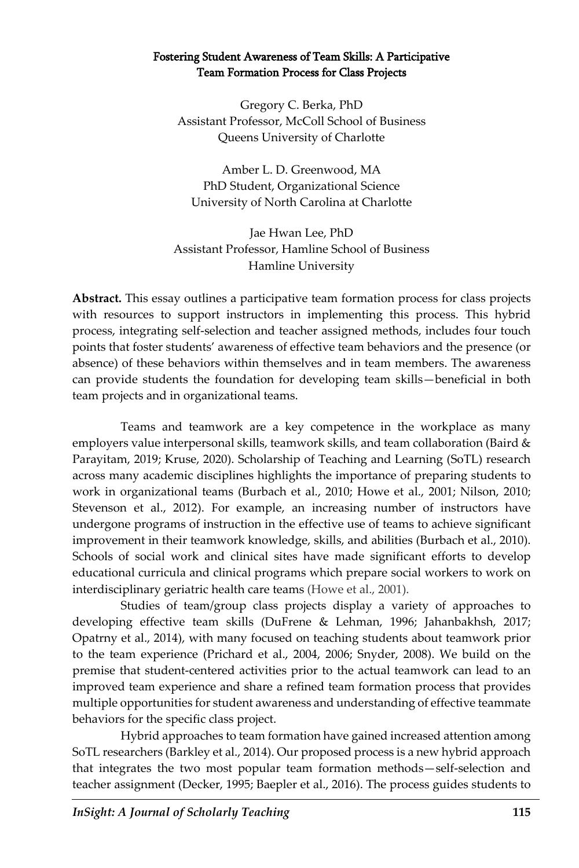#### Fostering Student Awareness of Team Skills: A Participative Team Formation Process for Class Projects

Gregory C. Berka, PhD Assistant Professor, McColl School of Business Queens University of Charlotte

Amber L. D. Greenwood, MA PhD Student, Organizational Science University of North Carolina at Charlotte

Jae Hwan Lee, PhD Assistant Professor, Hamline School of Business Hamline University

**Abstract.** This essay outlines a participative team formation process for class projects with resources to support instructors in implementing this process. This hybrid process, integrating self-selection and teacher assigned methods, includes four touch points that foster students' awareness of effective team behaviors and the presence (or absence) of these behaviors within themselves and in team members. The awareness can provide students the foundation for developing team skills—beneficial in both team projects and in organizational teams.

Teams and teamwork are a key competence in the workplace as many employers value interpersonal skills, teamwork skills, and team collaboration (Baird & Parayitam, 2019; Kruse, 2020). Scholarship of Teaching and Learning (SoTL) research across many academic disciplines highlights the importance of preparing students to work in organizational teams (Burbach et al., 2010; Howe et al., 2001; Nilson, 2010; Stevenson et al., 2012). For example, an increasing number of instructors have undergone programs of instruction in the effective use of teams to achieve significant improvement in their teamwork knowledge, skills, and abilities (Burbach et al., 2010). Schools of social work and clinical sites have made significant efforts to develop educational curricula and clinical programs which prepare social workers to work on interdisciplinary geriatric health care teams (Howe et al., 2001).

Studies of team/group class projects display a variety of approaches to developing effective team skills (DuFrene & Lehman, 1996; Jahanbakhsh, 2017; Opatrny et al., 2014), with many focused on teaching students about teamwork prior to the team experience (Prichard et al., 2004, 2006; Snyder, 2008). We build on the premise that student-centered activities prior to the actual teamwork can lead to an improved team experience and share a refined team formation process that provides multiple opportunities for student awareness and understanding of effective teammate behaviors for the specific class project.

Hybrid approaches to team formation have gained increased attention among SoTL researchers (Barkley et al., 2014). Our proposed process is a new hybrid approach that integrates the two most popular team formation methods—self-selection and teacher assignment (Decker, 1995; Baepler et al., 2016). The process guides students to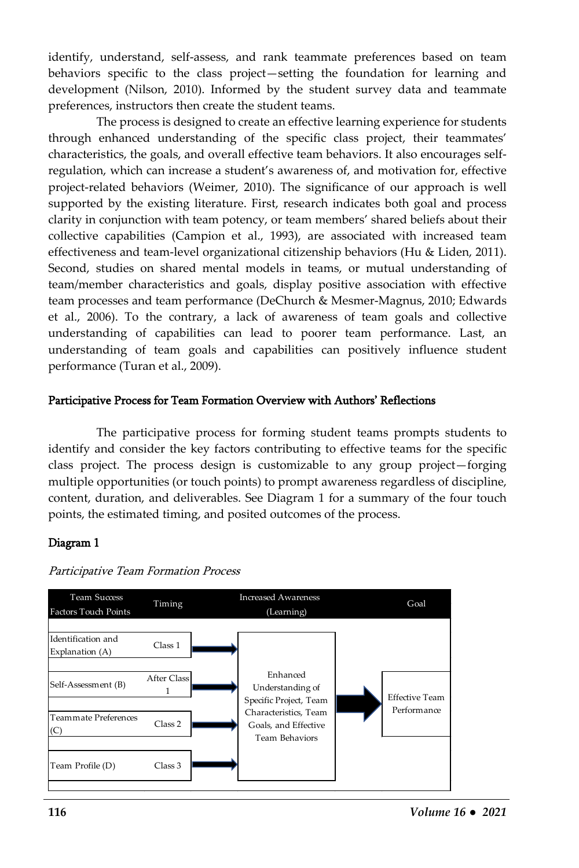identify, understand, self-assess, and rank teammate preferences based on team behaviors specific to the class project—setting the foundation for learning and development (Nilson, 2010). Informed by the student survey data and teammate preferences, instructors then create the student teams.

The process is designed to create an effective learning experience for students through enhanced understanding of the specific class project, their teammates' characteristics, the goals, and overall effective team behaviors. It also encourages selfregulation, which can increase a student's awareness of, and motivation for, effective project-related behaviors (Weimer, 2010). The significance of our approach is well supported by the existing literature. First, research indicates both goal and process clarity in conjunction with team potency, or team members' shared beliefs about their collective capabilities (Campion et al., 1993), are associated with increased team effectiveness and team-level organizational citizenship behaviors (Hu & Liden, 2011). Second, studies on shared mental models in teams, or mutual understanding of team/member characteristics and goals, display positive association with effective team processes and team performance (DeChurch & Mesmer-Magnus, 2010; Edwards et al., 2006). To the contrary, a lack of awareness of team goals and collective understanding of capabilities can lead to poorer team performance. Last, an understanding of team goals and capabilities can positively influence student performance (Turan et al., 2009).

#### Participative Process for Team Formation Overview with Authors' Reflections

The participative process for forming student teams prompts students to identify and consider the key factors contributing to effective teams for the specific class project. The process design is customizable to any group project—forging multiple opportunities (or touch points) to prompt awareness regardless of discipline, content, duration, and deliverables. See Diagram 1 for a summary of the four touch points, the estimated timing, and posited outcomes of the process.

#### Diagram 1



Participative Team Formation Process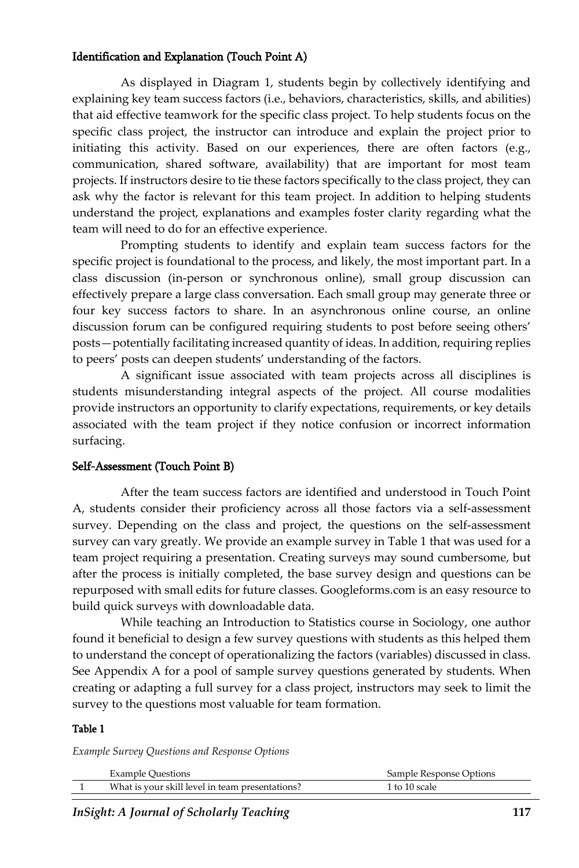#### Identification and Explanation (Touch Point A)

As displayed in Diagram 1, students begin by collectively identifying and explaining key team success factors (i.e., behaviors, characteristics, skills, and abilities) that aid effective teamwork for the specific class project. To help students focus on the specific class project, the instructor can introduce and explain the project prior to initiating this activity. Based on our experiences, there are often factors (e.g., communication, shared software, availability) that are important for most team projects. If instructors desire to tie these factors specifically to the class project, they can ask why the factor is relevant for this team project. In addition to helping students understand the project, explanations and examples foster clarity regarding what the team will need to do for an effective experience.

Prompting students to identify and explain team success factors for the specific project is foundational to the process, and likely, the most important part. In a class discussion (in-person or synchronous online), small group discussion can effectively prepare a large class conversation. Each small group may generate three or four key success factors to share. In an asynchronous online course, an online discussion forum can be configured requiring students to post before seeing others' posts—potentially facilitating increased quantity of ideas. In addition, requiring replies to peers' posts can deepen students' understanding of the factors.

A significant issue associated with team projects across all disciplines is students misunderstanding integral aspects of the project. All course modalities provide instructors an opportunity to clarify expectations, requirements, or key details associated with the team project if they notice confusion or incorrect information surfacing.

#### Self-Assessment (Touch Point B)

After the team success factors are identified and understood in Touch Point A, students consider their proficiency across all those factors via a self-assessment survey. Depending on the class and project, the questions on the self-assessment survey can vary greatly. We provide an example survey in Table 1 that was used for a team project requiring a presentation. Creating surveys may sound cumbersome, but after the process is initially completed, the base survey design and questions can be repurposed with small edits for future classes. Googleforms.com is an easy resource to build quick surveys with downloadable data.

While teaching an Introduction to Statistics course in Sociology, one author found it beneficial to design a few survey questions with students as this helped them to understand the concept of operationalizing the factors (variables) discussed in class. See Appendix A for a pool of sample survey questions generated by students. When creating or adapting a full survey for a class project, instructors may seek to limit the survey to the questions most valuable for team formation.

#### Table 1

*Example Survey Questions and Response Options*

| <b>Example Ouestions</b>                        | Sample Response Options |
|-------------------------------------------------|-------------------------|
| What is your skill level in team presentations? | 1 to 10 scale           |

*InSight: A Journal of Scholarly Teaching* **117**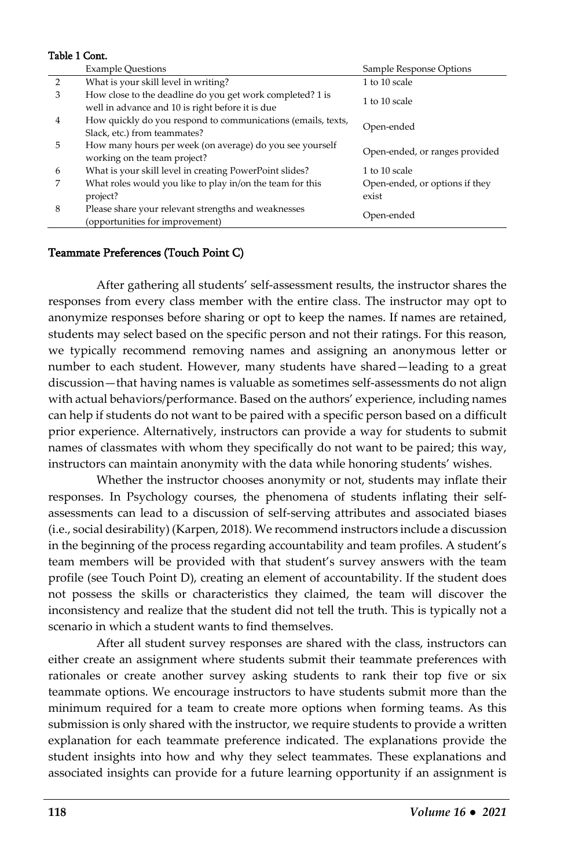#### Table 1 Cont.

|   | <b>Example Ouestions</b>                                                                                      | Sample Response Options                 |
|---|---------------------------------------------------------------------------------------------------------------|-----------------------------------------|
| 2 | What is your skill level in writing?                                                                          | 1 to 10 scale                           |
| 3 | How close to the deadline do you get work completed? 1 is<br>well in advance and 10 is right before it is due | 1 to 10 scale                           |
| 4 | How quickly do you respond to communications (emails, texts,<br>Slack, etc.) from teammates?                  | Open-ended                              |
| 5 | How many hours per week (on average) do you see yourself<br>working on the team project?                      | Open-ended, or ranges provided          |
| 6 | What is your skill level in creating PowerPoint slides?                                                       | 1 to 10 scale                           |
|   | What roles would you like to play in/on the team for this<br>project?                                         | Open-ended, or options if they<br>exist |
| 8 | Please share your relevant strengths and weaknesses<br>(opportunities for improvement)                        | Open-ended                              |

#### Teammate Preferences (Touch Point C)

After gathering all students' self-assessment results, the instructor shares the responses from every class member with the entire class. The instructor may opt to anonymize responses before sharing or opt to keep the names. If names are retained, students may select based on the specific person and not their ratings. For this reason, we typically recommend removing names and assigning an anonymous letter or number to each student. However, many students have shared—leading to a great discussion—that having names is valuable as sometimes self-assessments do not align with actual behaviors/performance. Based on the authors' experience, including names can help if students do not want to be paired with a specific person based on a difficult prior experience. Alternatively, instructors can provide a way for students to submit names of classmates with whom they specifically do not want to be paired; this way, instructors can maintain anonymity with the data while honoring students' wishes.

Whether the instructor chooses anonymity or not, students may inflate their responses. In Psychology courses, the phenomena of students inflating their selfassessments can lead to a discussion of self-serving attributes and associated biases (i.e., social desirability) (Karpen, 2018). We recommend instructors include a discussion in the beginning of the process regarding accountability and team profiles. A student's team members will be provided with that student's survey answers with the team profile (see Touch Point D), creating an element of accountability. If the student does not possess the skills or characteristics they claimed, the team will discover the inconsistency and realize that the student did not tell the truth. This is typically not a scenario in which a student wants to find themselves.

After all student survey responses are shared with the class, instructors can either create an assignment where students submit their teammate preferences with rationales or create another survey asking students to rank their top five or six teammate options. We encourage instructors to have students submit more than the minimum required for a team to create more options when forming teams. As this submission is only shared with the instructor, we require students to provide a written explanation for each teammate preference indicated. The explanations provide the student insights into how and why they select teammates. These explanations and associated insights can provide for a future learning opportunity if an assignment is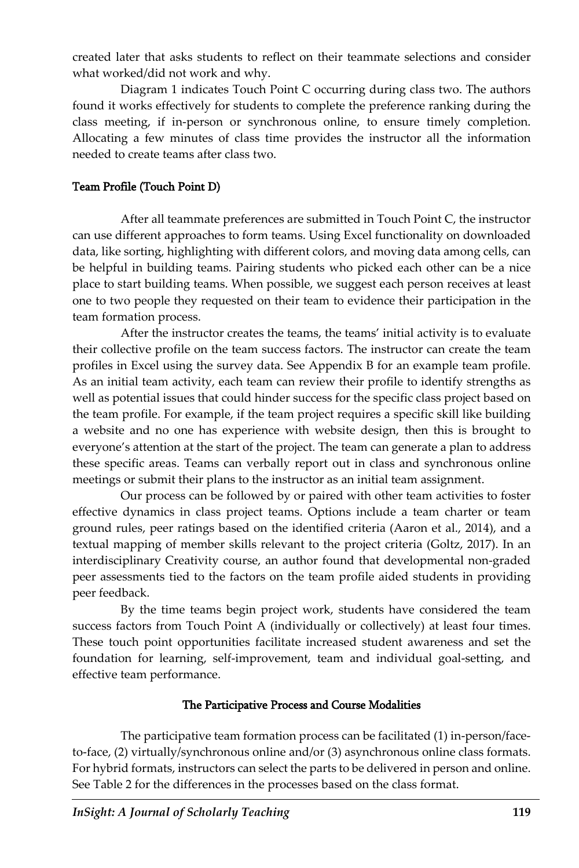created later that asks students to reflect on their teammate selections and consider what worked/did not work and why.

Diagram 1 indicates Touch Point C occurring during class two. The authors found it works effectively for students to complete the preference ranking during the class meeting, if in-person or synchronous online, to ensure timely completion. Allocating a few minutes of class time provides the instructor all the information needed to create teams after class two.

### Team Profile (Touch Point D)

After all teammate preferences are submitted in Touch Point C, the instructor can use different approaches to form teams. Using Excel functionality on downloaded data, like sorting, highlighting with different colors, and moving data among cells, can be helpful in building teams. Pairing students who picked each other can be a nice place to start building teams. When possible, we suggest each person receives at least one to two people they requested on their team to evidence their participation in the team formation process.

After the instructor creates the teams, the teams' initial activity is to evaluate their collective profile on the team success factors. The instructor can create the team profiles in Excel using the survey data. See Appendix B for an example team profile. As an initial team activity, each team can review their profile to identify strengths as well as potential issues that could hinder success for the specific class project based on the team profile. For example, if the team project requires a specific skill like building a website and no one has experience with website design, then this is brought to everyone's attention at the start of the project. The team can generate a plan to address these specific areas. Teams can verbally report out in class and synchronous online meetings or submit their plans to the instructor as an initial team assignment.

Our process can be followed by or paired with other team activities to foster effective dynamics in class project teams. Options include a team charter or team ground rules, peer ratings based on the identified criteria (Aaron et al., 2014), and a textual mapping of member skills relevant to the project criteria (Goltz, 2017). In an interdisciplinary Creativity course, an author found that developmental non-graded peer assessments tied to the factors on the team profile aided students in providing peer feedback.

By the time teams begin project work, students have considered the team success factors from Touch Point A (individually or collectively) at least four times. These touch point opportunities facilitate increased student awareness and set the foundation for learning, self-improvement, team and individual goal-setting, and effective team performance.

### The Participative Process and Course Modalities

The participative team formation process can be facilitated (1) in-person/faceto-face, (2) virtually/synchronous online and/or (3) asynchronous online class formats. For hybrid formats, instructors can select the parts to be delivered in person and online. See Table 2 for the differences in the processes based on the class format.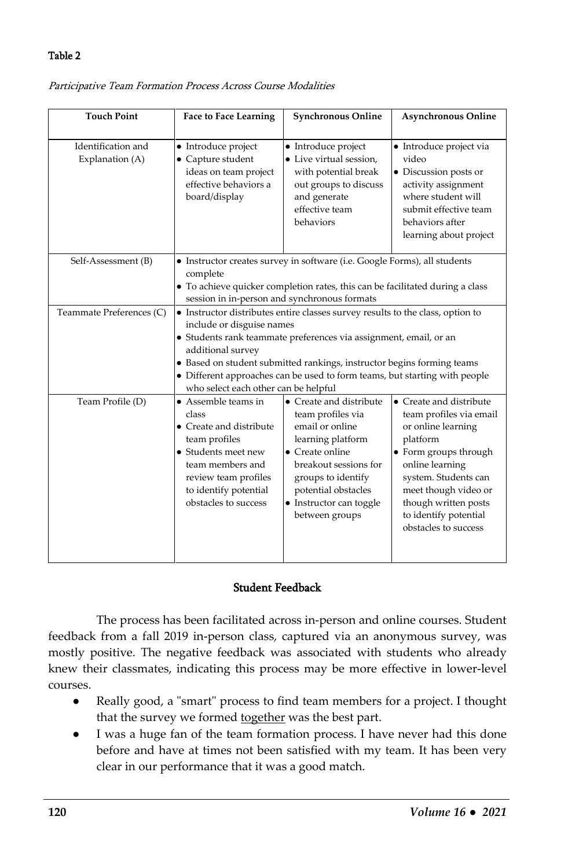#### Table 2

| <b>Touch Point</b>                    | <b>Face to Face Learning</b>                                                                                                                                                                                                                                                                                                                                                                          | <b>Synchronous Online</b>                                                                                                                                                                                                  | <b>Asynchronous Online</b>                                                                                                                                                                                                                                |
|---------------------------------------|-------------------------------------------------------------------------------------------------------------------------------------------------------------------------------------------------------------------------------------------------------------------------------------------------------------------------------------------------------------------------------------------------------|----------------------------------------------------------------------------------------------------------------------------------------------------------------------------------------------------------------------------|-----------------------------------------------------------------------------------------------------------------------------------------------------------------------------------------------------------------------------------------------------------|
| Identification and<br>Explanation (A) | • Introduce project<br>$\bullet$ Capture student<br>ideas on team project<br>effective behaviors a<br>board/display                                                                                                                                                                                                                                                                                   | • Introduce project<br>• Live virtual session.<br>with potential break<br>out groups to discuss<br>and generate<br>effective team<br>behaviors                                                                             | • Introduce project via<br>video<br>• Discussion posts or<br>activity assignment<br>where student will<br>submit effective team<br>behaviors after<br>learning about project                                                                              |
| Self-Assessment (B)                   | • Instructor creates survey in software (i.e. Google Forms), all students<br>complete<br>• To achieve quicker completion rates, this can be facilitated during a class<br>session in in-person and synchronous formats                                                                                                                                                                                |                                                                                                                                                                                                                            |                                                                                                                                                                                                                                                           |
| Teammate Preferences (C)              | • Instructor distributes entire classes survey results to the class, option to<br>include or disguise names<br>· Students rank teammate preferences via assignment, email, or an<br>additional survey<br>• Based on student submitted rankings, instructor begins forming teams<br>• Different approaches can be used to form teams, but starting with people<br>who select each other can be helpful |                                                                                                                                                                                                                            |                                                                                                                                                                                                                                                           |
| Team Profile (D)                      | $\bullet$ Assemble teams in<br>class<br>• Create and distribute<br>team profiles<br>• Students meet new<br>team members and<br>review team profiles<br>to identify potential<br>obstacles to success                                                                                                                                                                                                  | • Create and distribute<br>team profiles via<br>email or online<br>learning platform<br>• Create online<br>breakout sessions for<br>groups to identify<br>potential obstacles<br>• Instructor can toggle<br>between groups | • Create and distribute<br>team profiles via email<br>or online learning<br>platform<br>• Form groups through<br>online learning<br>system. Students can<br>meet though video or<br>though written posts<br>to identify potential<br>obstacles to success |

Participative Team Formation Process Across Course Modalities

#### Student Feedback

The process has been facilitated across in-person and online courses. Student feedback from a fall 2019 in-person class, captured via an anonymous survey, was mostly positive. The negative feedback was associated with students who already knew their classmates, indicating this process may be more effective in lower-level courses.

- Really good, a "smart" process to find team members for a project. I thought that the survey we formed together was the best part.
- I was a huge fan of the team formation process. I have never had this done before and have at times not been satisfied with my team. It has been very clear in our performance that it was a good match.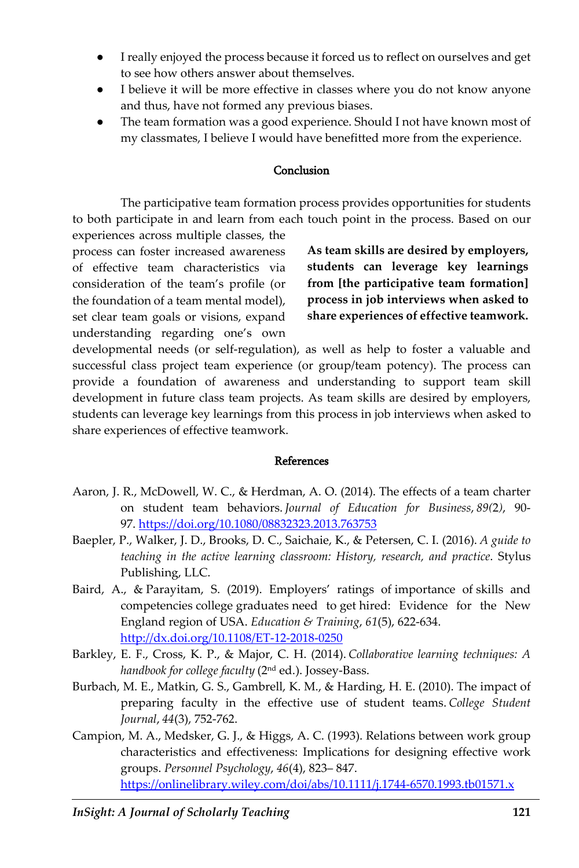- I really enjoyed the process because it forced us to reflect on ourselves and get to see how others answer about themselves.
- I believe it will be more effective in classes where you do not know anyone and thus, have not formed any previous biases.
- The team formation was a good experience. Should I not have known most of my classmates, I believe I would have benefitted more from the experience.

#### Conclusion

The participative team formation process provides opportunities for students to both participate in and learn from each touch point in the process. Based on our experiences across multiple classes, the

process can foster increased awareness of effective team characteristics via consideration of the team's profile (or the foundation of a team mental model), set clear team goals or visions, expand understanding regarding one's own

**As team skills are desired by employers, students can leverage key learnings from [the participative team formation] process in job interviews when asked to share experiences of effective teamwork.**

developmental needs (or self-regulation), as well as help to foster a valuable and successful class project team experience (or group/team potency). The process can provide a foundation of awareness and understanding to support team skill development in future class team projects. As team skills are desired by employers, students can leverage key learnings from this process in job interviews when asked to share experiences of effective teamwork.

#### References

- Aaron, J. R., McDowell, W. C., & Herdman, A. O. (2014). The effects of a team charter on student team behaviors. *Journal of Education for Business*, *89(*2*)*, 90- 97. <https://doi.org/10.1080/08832323.2013.763753>
- Baepler, P., Walker, J. D., Brooks, D. C., Saichaie, K., & Petersen, C. I. (2016). *A guide to teaching in the active learning classroom: History, research, and practice*. Stylus Publishing, LLC.
- Baird, A., & Parayitam, S. (2019). Employers' ratings of importance of skills and competencies college graduates need to get hired: Evidence for the New England region of USA. *Education & Training*, *61*(5), 622-634. <http://dx.doi.org/10.1108/ET-12-2018-0250>
- Barkley, E. F., Cross, K. P., & Major, C. H. (2014). *Collaborative learning techniques: A handbook for college faculty* (2nd ed.). Jossey-Bass.
- Burbach, M. E., Matkin, G. S., Gambrell, K. M., & Harding, H. E. (2010). The impact of preparing faculty in the effective use of student teams. *College Student Journal*, *44*(3), 752-762.
- Campion, M. A., Medsker, G. J., & Higgs, A. C. (1993). Relations between work group characteristics and effectiveness: Implications for designing effective work groups. *Personnel Psychology*, *46*(4), 823– 847. <https://onlinelibrary.wiley.com/doi/abs/10.1111/j.1744-6570.1993.tb01571.x>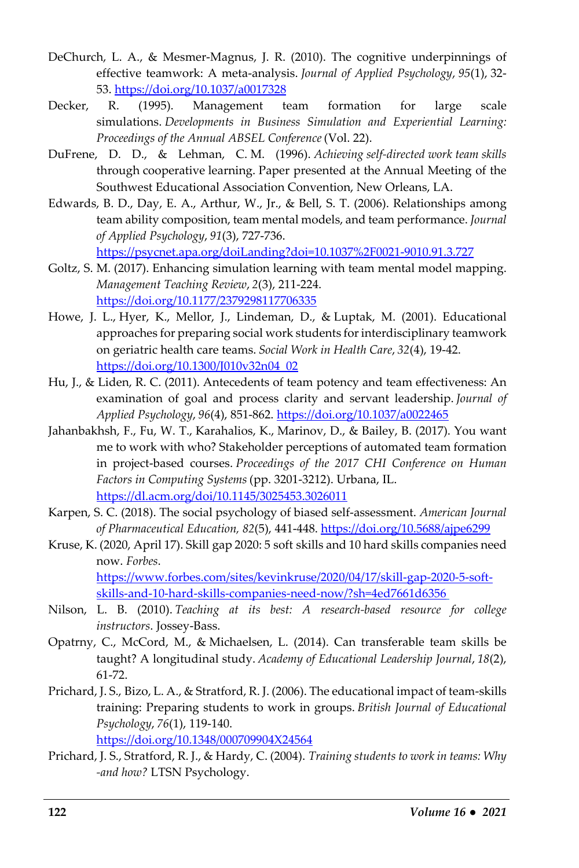- DeChurch, L. A., & Mesmer-Magnus, J. R. (2010). The cognitive underpinnings of effective teamwork: A meta-analysis. *Journal of Applied Psychology*, *95*(1), 32- 53. <https://doi.org/10.1037/a0017328>
- Decker, R. (1995). Management team formation for large scale simulations. *Developments in Business Simulation and Experiential Learning: Proceedings of the Annual ABSEL Conference* (Vol. 22).
- DuFrene, D. D., & Lehman, C. M. (1996). *Achieving self-directed work team skills*  through cooperative learning. Paper presented at the Annual Meeting of the Southwest Educational Association Convention, New Orleans, LA.
- Edwards, B. D., Day, E. A., Arthur, W., Jr., & Bell, S. T. (2006). Relationships among team ability composition, team mental models, and team performance. *Journal of Applied Psychology*, *91*(3), 727-736. <https://psycnet.apa.org/doiLanding?doi=10.1037%2F0021-9010.91.3.727>
- Goltz, S. M. (2017). Enhancing simulation learning with team mental model mapping. *Management Teaching Review*, *2*(3), 211-224.

<https://doi.org/10.1177/2379298117706335>

- Howe, J. L., Hyer, K., Mellor, J., Lindeman, D., & Luptak, M. (2001). Educational approaches for preparing social work students for interdisciplinary teamwork on geriatric health care teams. *Social Work in Health Care*, *32*(4), 19-42. [https://doi.org/10.1300/J010v32n04\\_02](https://doi.org/10.1300/J010v32n04_02)
- Hu, J., & Liden, R. C. (2011). Antecedents of team potency and team effectiveness: An examination of goal and process clarity and servant leadership. *Journal of Applied Psychology*, *96*(4), 851-862. <https://doi.org/10.1037/a0022465>
- Jahanbakhsh, F., Fu, W. T., Karahalios, K., Marinov, D., & Bailey, B. (2017). You want me to work with who? Stakeholder perceptions of automated team formation in project-based courses. *Proceedings of the 2017 CHI Conference on Human Factors in Computing Systems* (pp. 3201-3212). Urbana, IL. <https://dl.acm.org/doi/10.1145/3025453.3026011>
- Karpen, S. C. (2018). The social psychology of biased self-assessment. *American Journal of Pharmaceutical Education, 82*(5), 441-448. <https://doi.org/10.5688/ajpe6299>
- Kruse, K. (2020, April 17). Skill gap 2020: 5 soft skills and 10 hard skills companies need now. *Forbes*. [https://www.forbes.com/sites/kevinkruse/2020/04/17/skill-gap-2020-5-soft](https://www.forbes.com/sites/kevinkruse/2020/04/17/skill-gap-2020-5-soft-skills-and-10-hard-skills-companies-need-now/?sh=4ed7661d6356)[skills-and-10-hard-skills-companies-need-now/?sh=4ed7661d6356](https://www.forbes.com/sites/kevinkruse/2020/04/17/skill-gap-2020-5-soft-skills-and-10-hard-skills-companies-need-now/?sh=4ed7661d6356)
- Nilson, L. B. (2010). *Teaching at its best: A research-based resource for college instructors*. Jossey-Bass.
- Opatrny, C., McCord, M., & Michaelsen, L. (2014). Can transferable team skills be taught? A longitudinal study. *Academy of Educational Leadership Journal*, *18*(2), 61-72.
- Prichard, J. S., Bizo, L. A., & Stratford, R. J. (2006). The educational impact of team-skills training: Preparing students to work in groups. *British Journal of Educational Psychology*, *76*(1), 119-140.

<https://doi.org/10.1348/000709904X24564>

Prichard, J. S., Stratford, R. J., & Hardy, C. (2004). *Training students to work in teams: Why -and how?* LTSN Psychology.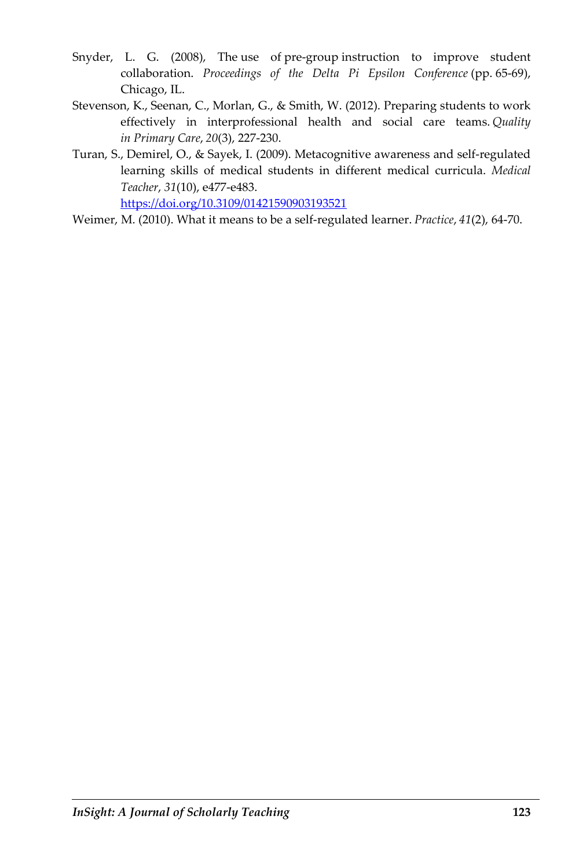- Snyder, L. G. (2008), The use of pre-group instruction to improve student collaboration. *Proceedings of the Delta Pi Epsilon Conference* (pp. 65-69), Chicago, IL.
- Stevenson, K., Seenan, C., Morlan, G., & Smith, W. (2012). Preparing students to work effectively in interprofessional health and social care teams. *Quality in Primary Care*, *20*(3), 227-230.
- Turan, S., Demirel, O., & Sayek, I. (2009). Metacognitive awareness and self-regulated learning skills of medical students in different medical curricula. *Medical Teacher*, *31*(10), e477-e483. <https://doi.org/10.3109/01421590903193521>
- Weimer, M. (2010). What it means to be a self-regulated learner. *Practice*, *41*(2), 64-70.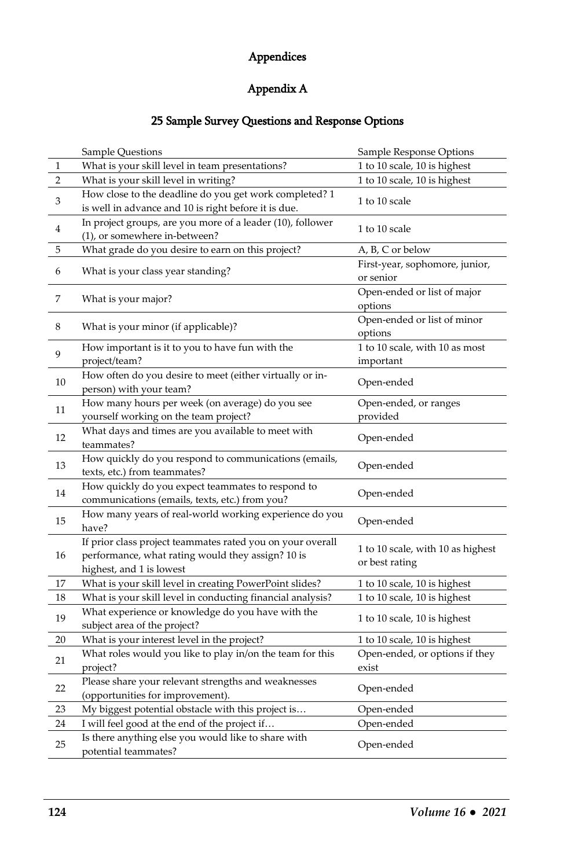## Appendices

# Appendix A

## 25 Sample Survey Questions and Response Options

|    | Sample Questions                                                                                                                            | Sample Response Options                             |
|----|---------------------------------------------------------------------------------------------------------------------------------------------|-----------------------------------------------------|
| 1  | What is your skill level in team presentations?                                                                                             | 1 to 10 scale, 10 is highest                        |
| 2  | What is your skill level in writing?                                                                                                        | 1 to 10 scale, 10 is highest                        |
| 3  | How close to the deadline do you get work completed? 1<br>is well in advance and 10 is right before it is due.                              | 1 to 10 scale                                       |
| 4  | In project groups, are you more of a leader (10), follower<br>(1), or somewhere in-between?                                                 | 1 to 10 scale                                       |
| 5  | What grade do you desire to earn on this project?                                                                                           | A, B, C or below                                    |
| 6  | What is your class year standing?                                                                                                           | First-year, sophomore, junior,<br>or senior         |
| 7  | What is your major?                                                                                                                         | Open-ended or list of major<br>options              |
| 8  | What is your minor (if applicable)?                                                                                                         | Open-ended or list of minor<br>options              |
| 9  | How important is it to you to have fun with the<br>project/team?                                                                            | 1 to 10 scale, with 10 as most<br>important         |
| 10 | How often do you desire to meet (either virtually or in-<br>person) with your team?                                                         | Open-ended                                          |
| 11 | How many hours per week (on average) do you see<br>yourself working on the team project?                                                    | Open-ended, or ranges<br>provided                   |
| 12 | What days and times are you available to meet with<br>teammates?                                                                            | Open-ended                                          |
| 13 | How quickly do you respond to communications (emails,<br>texts, etc.) from teammates?                                                       | Open-ended                                          |
| 14 | How quickly do you expect teammates to respond to<br>communications (emails, texts, etc.) from you?                                         | Open-ended                                          |
| 15 | How many years of real-world working experience do you<br>have?                                                                             | Open-ended                                          |
| 16 | If prior class project teammates rated you on your overall<br>performance, what rating would they assign? 10 is<br>highest, and 1 is lowest | 1 to 10 scale, with 10 as highest<br>or best rating |
| 17 | What is your skill level in creating PowerPoint slides?                                                                                     | 1 to 10 scale, 10 is highest                        |
| 18 | What is your skill level in conducting financial analysis?                                                                                  | 1 to 10 scale, 10 is highest                        |
| 19 | What experience or knowledge do you have with the<br>subject area of the project?                                                           | 1 to 10 scale, 10 is highest                        |
| 20 | What is your interest level in the project?                                                                                                 | 1 to 10 scale, 10 is highest                        |
| 21 | What roles would you like to play in/on the team for this<br>project?                                                                       | Open-ended, or options if they<br>exist             |
| 22 | Please share your relevant strengths and weaknesses<br>(opportunities for improvement).                                                     | Open-ended                                          |
| 23 | My biggest potential obstacle with this project is                                                                                          | Open-ended                                          |
| 24 | I will feel good at the end of the project if                                                                                               | Open-ended                                          |
| 25 | Is there anything else you would like to share with<br>potential teammates?                                                                 | Open-ended                                          |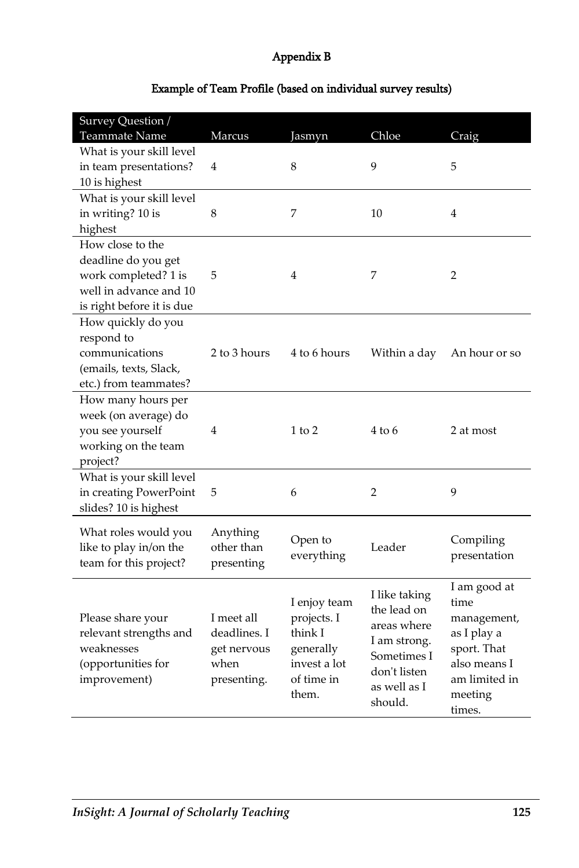# Appendix B

| Teammate Name<br>Marcus<br>Chloe<br>Craig<br>Jasmyn<br>What is your skill level<br>9<br>in team presentations?<br>8<br>4<br>5<br>10 is highest<br>What is your skill level<br>in writing? 10 is<br>8<br>7<br>10<br>4<br>highest<br>How close to the |
|-----------------------------------------------------------------------------------------------------------------------------------------------------------------------------------------------------------------------------------------------------|
|                                                                                                                                                                                                                                                     |
|                                                                                                                                                                                                                                                     |
|                                                                                                                                                                                                                                                     |
|                                                                                                                                                                                                                                                     |
|                                                                                                                                                                                                                                                     |
|                                                                                                                                                                                                                                                     |
|                                                                                                                                                                                                                                                     |
|                                                                                                                                                                                                                                                     |
| deadline do you get                                                                                                                                                                                                                                 |
| work completed? 1 is<br>5<br>4<br>7<br>2                                                                                                                                                                                                            |
| well in advance and 10                                                                                                                                                                                                                              |
| is right before it is due                                                                                                                                                                                                                           |
| How quickly do you                                                                                                                                                                                                                                  |
| respond to                                                                                                                                                                                                                                          |
| communications<br>2 to 3 hours<br>4 to 6 hours<br>Within a day<br>An hour or so                                                                                                                                                                     |
| (emails, texts, Slack,                                                                                                                                                                                                                              |
| etc.) from teammates?                                                                                                                                                                                                                               |
| How many hours per                                                                                                                                                                                                                                  |
| week (on average) do                                                                                                                                                                                                                                |
| you see yourself<br>4<br>$1$ to $2$<br>$4 \text{ to } 6$<br>2 at most                                                                                                                                                                               |
| working on the team                                                                                                                                                                                                                                 |
| project?                                                                                                                                                                                                                                            |
| What is your skill level                                                                                                                                                                                                                            |
| 2<br>9<br>in creating PowerPoint<br>5<br>6                                                                                                                                                                                                          |
| slides? 10 is highest                                                                                                                                                                                                                               |
|                                                                                                                                                                                                                                                     |
| What roles would you<br>Anything<br>Open to<br>Compiling                                                                                                                                                                                            |
| other than<br>Leader<br>like to play in/on the<br>presentation<br>everything                                                                                                                                                                        |
| team for this project?<br>presenting                                                                                                                                                                                                                |
| I am good at                                                                                                                                                                                                                                        |
| I like taking<br>I enjoy team<br>time                                                                                                                                                                                                               |
| the lead on<br>I meet all<br>projects. I<br>Please share your<br>management,                                                                                                                                                                        |
| areas where<br>relevant strengths and<br>deadlines. I<br>think I<br>as I play a                                                                                                                                                                     |
| I am strong.<br>weaknesses<br>sport. That<br>generally<br>get nervous                                                                                                                                                                               |
| Sometimes I<br>invest a lot<br>when<br>also means I<br>(opportunities for                                                                                                                                                                           |
| don't listen<br>improvement)<br>of time in<br>am limited in<br>presenting.                                                                                                                                                                          |
| as well as I<br>them.<br>meeting                                                                                                                                                                                                                    |
| should.<br>times.                                                                                                                                                                                                                                   |

# Example of Team Profile (based on individual survey results)